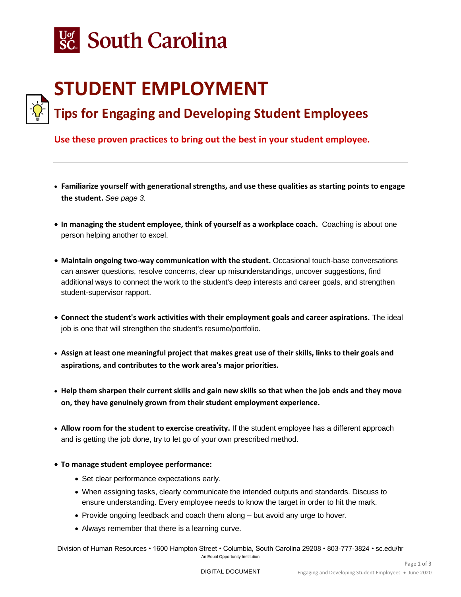

# **STUDENT EMPLOYMENT**

## **Tips for Engaging and Developing Student Employees**

#### **Use these proven practices to bring out the best in your student employee.**

- **Familiarize yourself with generational strengths, and use these qualities as starting points to engage the student.** *See page 3.*
- **In managing the student employee, think of yourself as a workplace coach.** Coaching is about one person helping another to excel.
- **Maintain ongoing two-way communication with the student.** Occasional touch-base conversations can answer questions, resolve concerns, clear up misunderstandings, uncover suggestions, find additional ways to connect the work to the student's deep interests and career goals, and strengthen student-supervisor rapport.
- **Connect the student's work activities with their employment goals and career aspirations.** The ideal job is one that will strengthen the student's resume/portfolio.
- **Assign at least one meaningful project that makes great use of their skills, links to their goals and aspirations, and contributes to the work area's major priorities.**
- **Help them sharpen their current skills and gain new skills so that when the job ends and they move on, they have genuinely grown from their student employment experience.**
- **Allow room for the student to exercise creativity.** If the student employee has a different approach and is getting the job done, try to let go of your own prescribed method.
- **To manage student employee performance:**
	- Set clear performance expectations early.
	- When assigning tasks, clearly communicate the intended outputs and standards. Discuss to ensure understanding. Every employee needs to know the target in order to hit the mark.
	- Provide ongoing feedback and coach them along but avoid any urge to hover.
	- Always remember that there is a learning curve.

Division of Human Resources • 1600 Hampton Street • Columbia, South Carolina 29208 • 803-777-3824 • [sc.edu/hr](http://sc.edu/hr) An Equal Opportunity Institution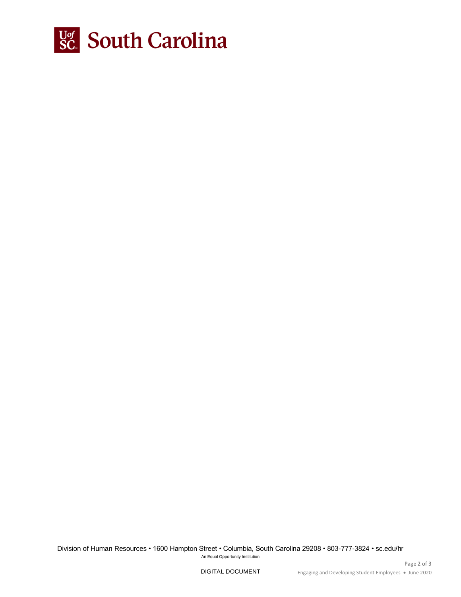

Division of Human Resources • 1600 Hampton Street • Columbia, South Carolina 29208 • 803-777-3824 • [sc.edu/hr](http://sc.edu/hr) An Equal Opportunity Institution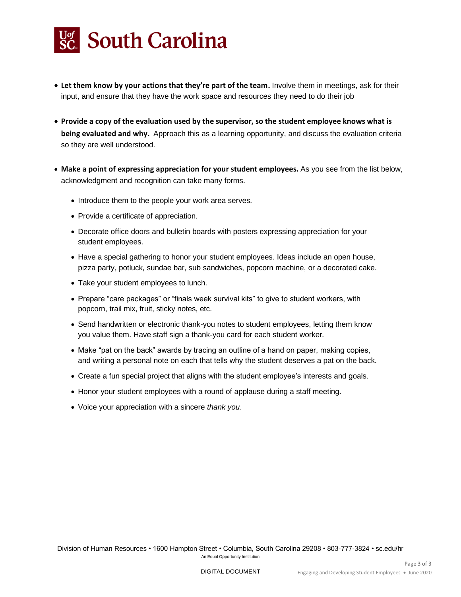

- **Let them know by your actions that they're part of the team.** Involve them in meetings, ask for their input, and ensure that they have the work space and resources they need to do their job
- **Provide a copy of the evaluation used by the supervisor, so the student employee knows what is being evaluated and why.** Approach this as a learning opportunity, and discuss the evaluation criteria so they are well understood.
- **Make a point of expressing appreciation for your student employees.** As you see from the list below, acknowledgment and recognition can take many forms.
	- Introduce them to the people your work area serves.
	- Provide a certificate of appreciation.
	- Decorate office doors and bulletin boards with posters expressing appreciation for your student employees.
	- Have a special gathering to honor your student employees. Ideas include an open house, pizza party, potluck, sundae bar, sub sandwiches, popcorn machine, or a decorated cake.
	- Take your student employees to lunch.
	- Prepare "care packages" or "finals week survival kits" to give to student workers, with popcorn, trail mix, fruit, sticky notes, etc.
	- Send handwritten or electronic thank-you notes to student employees, letting them know you value them. Have staff sign a thank-you card for each student worker.
	- Make "pat on the back" awards by tracing an outline of a hand on paper, making copies, and writing a personal note on each that tells why the student deserves a pat on the back.
	- Create a fun special project that aligns with the student employee's interests and goals.
	- Honor your student employees with a round of applause during a staff meeting.
	- Voice your appreciation with a sincere *thank you.*